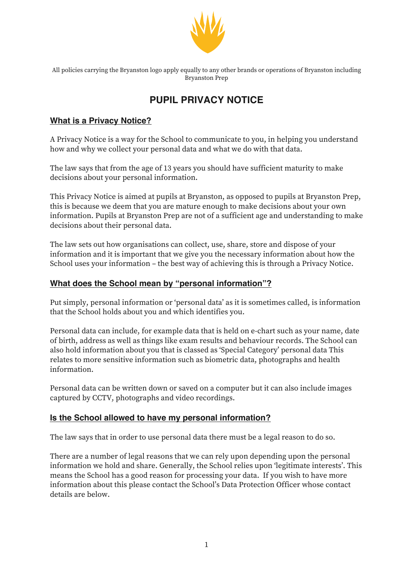

All policies carrying the Bryanston logo apply equally to any other brands or operations of Bryanston including Bryanston Prep

# **PUPIL PRIVACY NOTICE**

# **What is a Privacy Notice?**

A Privacy Notice is a way for the School to communicate to you, in helping you understand how and why we collect your personal data and what we do with that data.

The law says that from the age of 13 years you should have sufficient maturity to make decisions about your personal information.

This Privacy Notice is aimed at pupils at Bryanston, as opposed to pupils at Bryanston Prep, this is because we deem that you are mature enough to make decisions about your own information. Pupils at Bryanston Prep are not of a sufficient age and understanding to make decisions about their personal data.

The law sets out how organisations can collect, use, share, store and dispose of your information and it is important that we give you the necessary information about how the School uses your information – the best way of achieving this is through a Privacy Notice.

# **What does the School mean by "personal information"?**

Put simply, personal information or 'personal data' as it is sometimes called, is information that the School holds about you and which identifies you.

Personal data can include, for example data that is held on e-chart such as your name, date of birth, address as well as things like exam results and behaviour records. The School can also hold information about you that is classed as 'Special Category' personal data This relates to more sensitive information such as biometric data, photographs and health information.

Personal data can be written down or saved on a computer but it can also include images captured by CCTV, photographs and video recordings.

# **Is the School allowed to have my personal information?**

The law says that in order to use personal data there must be a legal reason to do so.

There are a number of legal reasons that we can rely upon depending upon the personal information we hold and share. Generally, the School relies upon 'legitimate interests'. This means the School has a good reason for processing your data. If you wish to have more information about this please contact the School's Data Protection Officer whose contact details are below.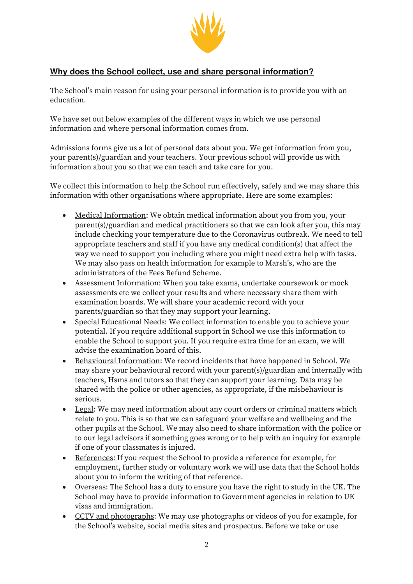

# **Why does the School collect, use and share personal information?**

The School's main reason for using your personal information is to provide you with an education.

We have set out below examples of the different ways in which we use personal information and where personal information comes from.

Admissions forms give us a lot of personal data about you. We get information from you, your parent(s)/guardian and your teachers. Your previous school will provide us with information about you so that we can teach and take care for you.

We collect this information to help the School run effectively, safely and we may share this information with other organisations where appropriate. Here are some examples:

- Medical Information: We obtain medical information about you from you, your parent(s)/guardian and medical practitioners so that we can look after you, this may include checking your temperature due to the Coronavirus outbreak. We need to tell appropriate teachers and staff if you have any medical condition(s) that affect the way we need to support you including where you might need extra help with tasks. We may also pass on health information for example to Marsh's, who are the administrators of the Fees Refund Scheme.
- Assessment Information: When you take exams, undertake coursework or mock assessments etc we collect your results and where necessary share them with examination boards. We will share your academic record with your parents/guardian so that they may support your learning.
- Special Educational Needs: We collect information to enable you to achieve your potential. If you require additional support in School we use this information to enable the School to support you. If you require extra time for an exam, we will advise the examination board of this.
- Behavioural Information: We record incidents that have happened in School. We may share your behavioural record with your parent(s)/guardian and internally with teachers, Hsms and tutors so that they can support your learning. Data may be shared with the police or other agencies, as appropriate, if the misbehaviour is serious.
- Legal: We may need information about any court orders or criminal matters which relate to you. This is so that we can safeguard your welfare and wellbeing and the other pupils at the School. We may also need to share information with the police or to our legal advisors if something goes wrong or to help with an inquiry for example if one of your classmates is injured.
- References: If you request the School to provide a reference for example, for employment, further study or voluntary work we will use data that the School holds about you to inform the writing of that reference.
- Overseas: The School has a duty to ensure you have the right to study in the UK. The School may have to provide information to Government agencies in relation to UK visas and immigration.
- CCTV and photographs: We may use photographs or videos of you for example, for the School's website, social media sites and prospectus. Before we take or use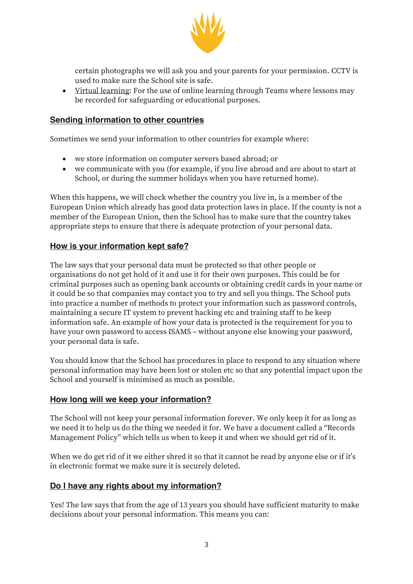

certain photographs we will ask you and your parents for your permission. CCTV is used to make sure the School site is safe.

• Virtual learning: For the use of online learning through Teams where lessons may be recorded for safeguarding or educational purposes.

## **Sending information to other countries**

Sometimes we send your information to other countries for example where:

- we store information on computer servers based abroad; or
- we communicate with you (for example, if you live abroad and are about to start at School, or during the summer holidays when you have returned home).

When this happens, we will check whether the country you live in, is a member of the European Union which already has good data protection laws in place. If the county is not a member of the European Union, then the School has to make sure that the country takes appropriate steps to ensure that there is adequate protection of your personal data.

#### **How is your information kept safe?**

The law says that your personal data must be protected so that other people or organisations do not get hold of it and use it for their own purposes. This could be for criminal purposes such as opening bank accounts or obtaining credit cards in your name or it could be so that companies may contact you to try and sell you things. The School puts into practice a number of methods to protect your information such as password controls, maintaining a secure IT system to prevent hacking etc and training staff to be keep information safe. An example of how your data is protected is the requirement for you to have your own password to access ISAMS – without anyone else knowing your password, your personal data is safe.

You should know that the School has procedures in place to respond to any situation where personal information may have been lost or stolen etc so that any potential impact upon the School and yourself is minimised as much as possible.

#### **How long will we keep your information?**

The School will not keep your personal information forever. We only keep it for as long as we need it to help us do the thing we needed it for. We have a document called a "Records Management Policy" which tells us when to keep it and when we should get rid of it.

When we do get rid of it we either shred it so that it cannot be read by anyone else or if it's in electronic format we make sure it is securely deleted.

#### **Do I have any rights about my information?**

Yes! The law says that from the age of 13 years you should have sufficient maturity to make decisions about your personal information. This means you can: